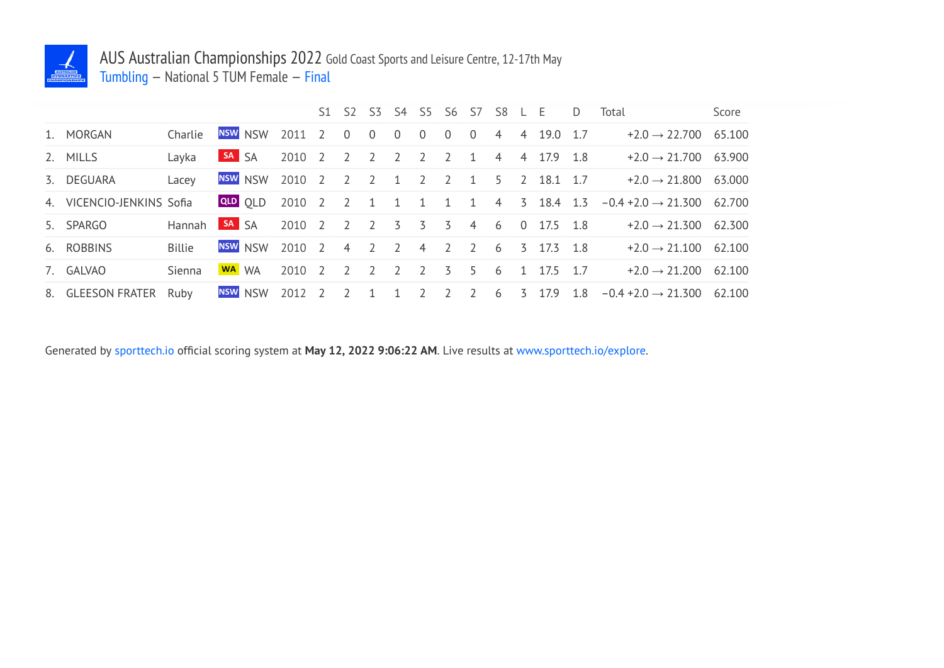

## AUS Australian Championships 2022 Gold Coast Sports and Leisure Centre, 12-17th May Tumbling — National 5 TUM Female — Final

|                           |               |                  |         |                                         |                |                |             |                     | S1 S2 S3 S4 S5 S6 S7 S8 L E |  |                                          | D Total                                                                        | Score |
|---------------------------|---------------|------------------|---------|-----------------------------------------|----------------|----------------|-------------|---------------------|-----------------------------|--|------------------------------------------|--------------------------------------------------------------------------------|-------|
| 1. MORGAN                 | Charlie       |                  |         | NSW NSW 2011 2 0                        |                | $\overline{0}$ | $0\qquad 0$ | $\overline{0}$      |                             |  | $0 \quad 4 \quad 4 \quad 19.0 \quad 1.7$ | $+2.0 \rightarrow 22.700$ 65.100                                               |       |
| 2. MILLS                  | Layka         | SA <sub>SA</sub> |         |                                         |                |                |             |                     |                             |  |                                          | $2010$ 2 2 2 2 2 2 1 4 4 17.9 1.8 $\rightarrow$ 21.700 63.900                  |       |
| 3. DEGUARA                | Lacey         |                  |         | NSW NSW 2010 2 2 2 1 2 2 1 5 2 18.1 1.7 |                |                |             |                     |                             |  |                                          | $+2.0 \rightarrow 21.800$ 63.000                                               |       |
| 4. VICENCIO-JENKINS Sofia |               |                  |         |                                         |                |                |             |                     |                             |  |                                          | QLD QLD 2010 2 2 1 1 1 1 1 4 3 18.4 1.3 $-0.4 + 2.0 \rightarrow 21.300$ 62.700 |       |
| 5. SPARGO                 | Hannah        | SA SA            |         | 2010 2 2 2 3 3 3 4 6                    |                |                |             |                     |                             |  | $0\quad 17.5\quad 1.8$                   | $+2.0 \rightarrow 21.300$ 62.300                                               |       |
| 6. ROBBINS                | <b>Billie</b> |                  | NSW NSW | 2010 2 4 2                              |                |                |             | $2 \quad 4 \quad 2$ |                             |  | 2 6 3 17.3 1.8                           | $+2.0 \rightarrow 21.100$ 62.100                                               |       |
| 7. GALVAO                 | Sienna        |                  | WA WA   | 2010 2 2 2                              |                |                | $2 \t2 \t3$ |                     |                             |  | 5 6 1 17.5 1.7                           | $+2.0 \rightarrow 21.200$ 62.100                                               |       |
| 8. GLEESON FRATER Ruby    |               |                  |         | <b>NSW NSW 2012 2</b>                   | $\overline{2}$ | 1              |             | $1 \quad 2 \quad 2$ | $2\quad 6\quad 3$           |  | 17.9                                     | $1.8 -0.4 +2.0 \rightarrow 21.300$ 62.100                                      |       |

Generated by sporttech.io official scoring system at **May 12, 2022 9:06:22 AM**. Live results at www.sporttech.io/explore.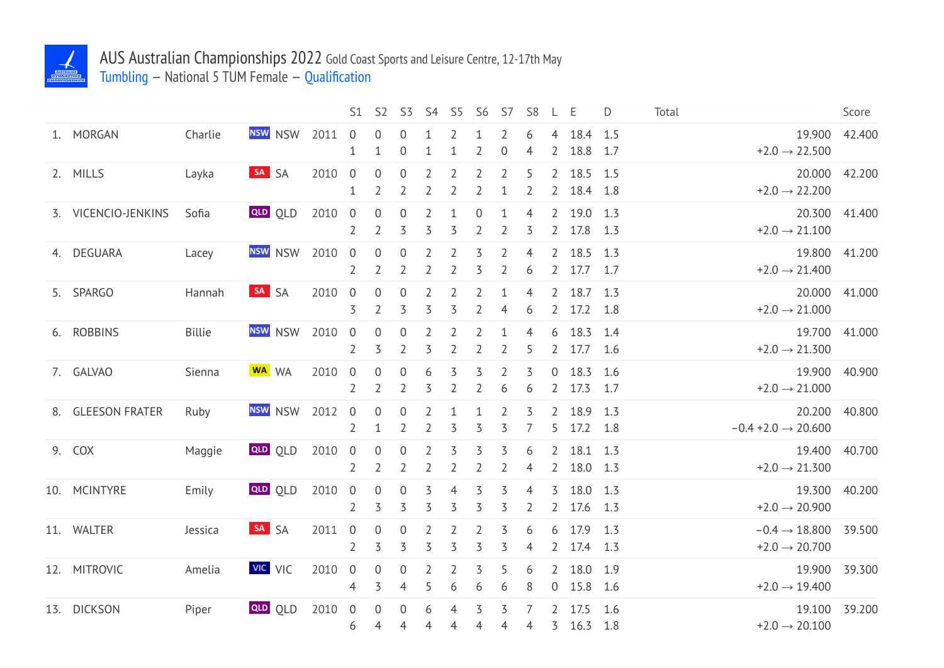

## AUS Australian Championships 2022 Gold Coast Sports and Leisure Centre, 12-17th May Tumbling — National 5 TUM Female — Qualification

|                     |               |                |      | S1                               | S <sub>2</sub>                     | S <sub>3</sub>                     | S <sub>4</sub>                   | S <sub>5</sub>                   | S <sub>6</sub>                   | S7                               | S <sub>8</sub>      | L                                | E                    | D          | Total |                                                               | Score         |
|---------------------|---------------|----------------|------|----------------------------------|------------------------------------|------------------------------------|----------------------------------|----------------------------------|----------------------------------|----------------------------------|---------------------|----------------------------------|----------------------|------------|-------|---------------------------------------------------------------|---------------|
| 1. MORGAN           | Charlie       | <b>NSW</b> NSW | 2011 | $\theta$<br>1                    | 0<br>$\mathbf{1}$                  | 0<br>$\boldsymbol{0}$              | 1                                | 2<br>$\mathbf 1$                 | $\overline{2}$                   | 2<br>$\theta$                    | 6<br>4              | 4<br>2                           | 18.4 1.5<br>18.8     | 1.7        |       | $+2.0 \rightarrow 22.500$                                     | 19.900 42.400 |
| 2. MILLS            | Layka         | SA SA          | 2010 | $\overline{0}$<br>1              | $\boldsymbol{0}$<br>$\overline{2}$ | $\boldsymbol{0}$<br>$\overline{2}$ | $\overline{2}$<br>$\overline{2}$ | $\overline{2}$<br>$\overline{2}$ | $\overline{2}$<br>$\overline{2}$ | $\overline{2}$<br>$\mathbf{1}$   | 5<br>$\overline{2}$ | $\overline{2}$<br>$2^{\circ}$    | 18.5 1.5<br>18.4 1.8 |            |       | $+2.0 \rightarrow 22.200$                                     | 20.000 42.200 |
| 3. VICENCIO-JENKINS | Sofia         | <b>QLD</b> QLD | 2010 | $\overline{0}$<br>$\overline{2}$ | 0<br>2                             | $\boldsymbol{0}$<br>3              | $\overline{2}$<br>3              | 1<br>3                           | 0<br>2                           | 1<br>$\overline{2}$              | 4<br>3              | $2^{\circ}$<br>$\overline{2}$    | 19.0 1.3<br>17.8     | 1.3        |       | $+2.0 \rightarrow 21.100$                                     | 20.300 41.400 |
| 4. DEGUARA          | Lacey         | <b>NSW</b> NSW | 2010 | $\overline{0}$<br>$\overline{2}$ | $\mathbf 0$<br>2                   | $\overline{0}$<br>$\overline{2}$   | $\overline{2}$<br>2              | $\overline{2}$<br>$\overline{2}$ | 3<br>3                           | $\overline{2}$<br>$\overline{2}$ | $\overline{4}$<br>6 | 2<br>$\overline{2}$              | 18.5<br>$17.7$ 1.7   | 1.3        |       | $+2.0 \rightarrow 21.400$                                     | 19.800 41.200 |
| 5. SPARGO           | Hannah        | SA SA          | 2010 | $\mathbf 0$<br>3                 | 0<br>2                             | $\boldsymbol{0}$<br>3              | 2<br>3                           | $\overline{2}$<br>3              | 2<br>$\overline{2}$              | $\mathbf{1}$<br>$\overline{4}$   | 4<br>6              | $\overline{2}$<br>$\overline{2}$ | 18.7<br>17.2         | 1.3<br>1.8 |       | $+2.0 \rightarrow 21.000$                                     | 20.000 41.000 |
| 6. ROBBINS          | <b>Billie</b> | <b>NSW</b> NSW | 2010 | $\boldsymbol{0}$<br>2            | $\boldsymbol{0}$<br>3              | $\boldsymbol{0}$<br>$\overline{2}$ | 2<br>3                           | $\overline{2}$<br>$\overline{2}$ | 2<br>$\overline{2}$              | 1<br>$\overline{2}$              | $\overline{4}$<br>5 | 6<br>$2^{\circ}$                 | 18.3<br>17.7 1.6     | 1.4        |       | $+2.0 \rightarrow 21.300$                                     | 19.700 41.000 |
| 7. GALVAO           | Sienna        | WA WA          | 2010 | $\overline{0}$<br>$\overline{2}$ | 0<br>$\overline{2}$                | $\boldsymbol{0}$<br>$\overline{2}$ | 6<br>3                           | 3<br>$\overline{2}$              | 3<br>$\overline{2}$              | $\overline{2}$<br>6              | 3<br>6              | 0<br>$\overline{2}$              | 18.3<br>17.3         | 1.6<br>1.7 |       | $+2.0 \rightarrow 21.000$                                     | 19.900 40.900 |
| 8. GLEESON FRATER   | Ruby          | <b>NSW</b> NSW | 2012 | $\overline{0}$<br>$\overline{2}$ | 0<br>$\mathbf 1$                   | $\boldsymbol{0}$<br>$\overline{2}$ | $\overline{2}$<br>2              | 1<br>$\overline{3}$              | 3                                | 2<br>3                           | 3                   | 2<br>5                           | 18.9<br>17.2         | 1.3<br>1.8 |       | $-0.4 + 2.0 \rightarrow 20.600$                               | 20.200 40.800 |
| 9. COX              | Maggie        | <b>QLD QLD</b> | 2010 | $\overline{0}$<br>2              | $\boldsymbol{0}$<br>2              | $\boldsymbol{0}$<br>2              | $\overline{2}$<br>2              | 3<br>$\overline{2}$              | 3<br>2                           | 3<br>$\overline{2}$              | 6<br>4              | 2<br>2                           | 18.1<br>18.0 1.3     | 1.3        |       | $+2.0 \rightarrow 21.300$                                     | 19.400 40.700 |
| 10. MCINTYRE        | Emily         | <b>QLD</b> OLD | 2010 | $\mathbf 0$<br>$\overline{2}$    | 0<br>3                             | $\boldsymbol{0}$<br>3              | 3<br>3                           | $\overline{4}$<br>3              | 3<br>3                           | 3<br>3                           | $\overline{4}$<br>2 | 3<br>2                           | 18.0<br>17.6         | 1.3<br>1.3 |       | $+2.0 \rightarrow 20.900$                                     | 19.300 40.200 |
| 11. WALTER          | Jessica       | SA SA          | 2011 | $\theta$<br>$\overline{2}$       | 0<br>3                             | $\boldsymbol{0}$<br>3              | 2<br>3                           | $\overline{2}$<br>3              | $\overline{2}$<br>3              | $\overline{3}$<br>3              | 6<br>4              | 6<br>$2^{\circ}$                 | 17.9<br>17.4 1.3     | 1.3        |       | $-0.4 \rightarrow 18.800$ 39.500<br>$+2.0 \rightarrow 20.700$ |               |
| 12. MITROVIC        | Amelia        | VIC VIC        | 2010 | $\overline{0}$<br>4              | 0<br>3                             | $\boldsymbol{0}$<br>$\overline{4}$ | 2<br>5                           | $\overline{2}$<br>6              | 3<br>6                           | 5<br>6                           | 6<br>8              | 2<br>$\overline{0}$              | 18.0 1.9<br>15.8     | 1.6        |       | $+2.0 \rightarrow 19.400$                                     | 19.900 39.300 |
| 13. DICKSON         | Piper         | <b>QLD</b> QLD | 2010 | $\overline{0}$<br>6              | 0<br>$\overline{4}$                | 0<br>4                             | 6<br>4                           | 4<br>4                           | 3<br>$\overline{4}$              | 3<br>4                           | 4                   | 3                                | 17.5<br>16.3         | 1.6<br>1.8 |       | $+2.0 \rightarrow 20.100$                                     | 19.100 39.200 |